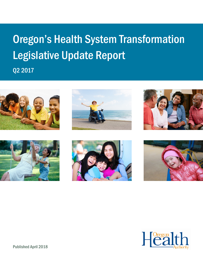# Oregon's Health System Transformation Legislative Update Report

## Q2 2017













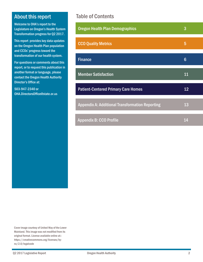### About this report

Welcome to OHA's report to the Legislature on Oregon's Health System Transformation progress for Q2 2017.

This report provides key data updates on the Oregon Health Plan population and CCOs' progress toward the transformation of our health system.

For questions or comments about this report, or to request this publication in another format or language, please contact the Oregon Health Authority Director's Office at:

503-947-2340 or OHA.DirectorsOffice@state.or.us

### Table of Contents

| <b>Oregon Health Plan Demographics</b>                 | 3  |
|--------------------------------------------------------|----|
| <b>CCO Quality Metrics</b>                             | 5  |
| <b>Finance</b>                                         | 6  |
| <b>Member Satisfaction</b>                             | 11 |
| <b>Patient-Centered Primary Care Homes</b>             | 12 |
| <b>Appendix A: Additional Transformation Reporting</b> | 13 |
| <b>Appendix B: CCO Profile</b>                         | 14 |

Cover image courtesy of United Way of the Lower Mainland. This image was not modified from its original format. License available online at:: https://creativecommons.org/licenses/bync/2.0/legalcode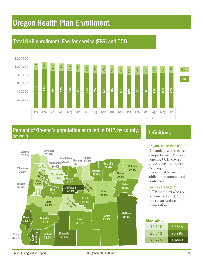## <span id="page-2-0"></span>Oregon Health Plan Enrollment

### Total OHP enrollment: Fee-for-service (FFS) and CCO.



### Percent of Oregon's population enrolled in OHP, by county. Definitions: (Q2 2017)



#### Oregon Health Plan (OHP)

Oregonians who receive comprehensive Medicaid benefits. OHP covers services such as regular check-ups, prescriptions, mental health care, addiction treatment, and dental care.

#### Fee for service (FFS)

OHP members who are not enrolled in a CCO or other managed care organization.

| <b>Map legend</b> |        |
|-------------------|--------|
| $14 - 19%$        | 30-34% |
| $20 - 24%$        | 35-39% |
| 25-29%            | 40-44% |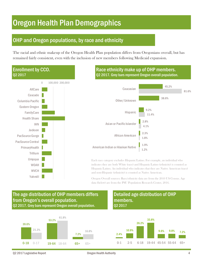## Oregon Health Plan Demographics

### OHP and Oregon populations, by race and ethnicity

The racial and ethnic makeup of the Oregon Health Plan population differs from Oregonians overall, but has remained fairly consistent, even with the inclusion of new members following Medicaid expansion.



#### Race ethnicity make up of OHP members. Q2 2017. Grey bars represent Oregon overall population.



Each race category excludes Hispanic/Latino. For example, an individual who indicates they are both White (race) and Hispanic/Latino (ethnicity) is counted as Hispanic/Latino. An individual who indicates that they are Native American (race) and non-Hispanic (ethnicity) is counted as Native American.

Oregon Overall sources: Race/ethnicity data are from the 2010 US Census. Age data (below) are from the PSU Population Research Center, 2016.

#### The age distribution of OHP members differs from Oregon's overall population. Q2 2017. Grey bars represent Oregon overall population.

#### Detailed age distribution of OHP members. Q2 2017

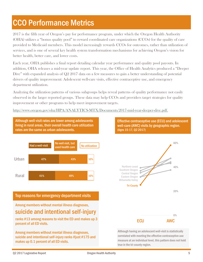## <span id="page-4-0"></span>CCO Performance Metrics

2017 is the fifth year of Oregon's pay for performance program, under which the Oregon Health Authority (OHA) utilizes a "bonus quality pool" to reward coordinated care organizations (CCOs) for the quality of care provided to Medicaid members. This model increasingly rewards CCOs for outcomes, rather than utilization of services, and is one of several key health system transformation mechanisms for achieving Oregon's vision for better health, better care, and lower costs.

Each year, OHA publishes a final report detailing calendar year performance and quality pool payouts. In addition, OHA releases a mid-year update report. This year, the Office of Health Analytics produced a "Deeper Dive" with expanded analysis of  $Q2$  2017 data on a few measures to gain a better understanding of potential drivers of quality improvement: Adolescent well-care visits, effective contraceptive use, and emergency department utilization.

Analyzing the utilization patterns of various subgroups helps reveal patterns of quality performance not easily observed in the larger reported groups. These data may help CCOs and providers target strategies for quality improvement or other programs to help meet improvement targets.

[http://www.oregon.gov/oha/HPA/ANALYTICS-MTX/Documents/2017-mid-year-deeper-dive.pdf.](http://www.oregon.gov/oha/HPA/ANALYTICS-MTX/Documents/2017-mid-year-deeper-dive.pdf) 

Although well-visit rates are lower among adolescents living in rural areas, their overall health care utilization rates are the same as urban adolescents.



#### Top reasons for emergency department visits

Among members without mental illness diagnoses,

## suicide and intentional self-injury

ranks #13 among reasons to visit the ED and makes up 3 percent of all ED visits.

Among members without mental illness diagnoses, suicide and intentional self-injury ranks #just #175 and makes up 0.1 percent of all ED visits.

Effective contraceptive use (ECU) and adolescent well-care (AWC) visits by geographic region. (Ages 15-17, Q2 2017)



Although having an adolescent well-visit is statistically correlated with meeting the effective contraceptive use measure at an individual level, this pattern does not hold true in the tri-county region.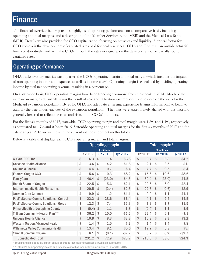## <span id="page-5-0"></span>Finance

The financial overview below provides highlights of operating performance on a comparative basis, including operating and total margins, and a description of the Member Services Ratio (MSR) and the Medical Loss Ratio (MLR). Details are also provided for CCO capitalization, focusing on net assets and liquidity. A critical factor for CCO success is the development of capitated rates paid for health services. OHA and Optumas, an outside actuarial firm, collaboratively work with the CCOs through the rates workgroup on the development of actuarially sound capitated rates.

## Operating performance

OHA tracks two key metrics each quarter: the CCOs' operating margin and total margin (which includes the impact of non-operating income and expenses as well as income taxes). Operating margin is calculated by dividing operating income by total net operating revenue, resulting in a percentage.

On a statewide basis, CCO operating margins have been trending downward from their peak in 2014. Much of the increase in margins during 2014 was the result of cost and utilization assumptions used to develop the rates for the Medicaid expansion population. By 2015, OHA had adequate emerging experience (claims information) to begin to quantify the true underlying cost of the expansion population. The rates were appropriately aligned with this data and generally lowered to reflect the costs and risks of the CCOs' members.

For the first six months of 2017, statewide, CCO operating margin and total margin were 1.3% and 1.1%, respectively, as compared to 1.7% and 0.9% in 2016. Statewide operating and total margins for the first six months of 2017 and the calendar year 2016 are in line with the current rate development methodology.

|                                                | <b>Operating margin</b> |         |                         |                | Total margin* |    |         |                         |         |           |
|------------------------------------------------|-------------------------|---------|-------------------------|----------------|---------------|----|---------|-------------------------|---------|-----------|
|                                                | \$ millions             |         |                         |                | \$ millions   |    |         |                         |         |           |
|                                                |                         | CY 2015 |                         | <b>CY 2016</b> | Q2 2017       |    | CY 2015 |                         | CY 2016 | Q2 2017   |
| AllCare CCO, Inc.                              | \$                      | 6.3     | \$                      | 11.4           | \$6.8         | \$ | 3.4     | \$                      | 6.8     | \$4.2     |
| <b>Cascade Health Alliance</b>                 | \$                      | 3.6     | $\frac{1}{2}$           | 4.2            | \$1.6         | \$ | 2.1     | \$                      | 2.5     | \$1.      |
| <b>Columbia Pacific</b>                        | \$                      | 4.4     | \$                      | 0.7            | $-$ \$.4      | \$ | 4.4     | \$                      | 0.5     | $-$.4$    |
| Eastern Oregon CCO                             | \$                      | 15.6    | $\frac{1}{2}$           | 10.3           | \$8.2         | \$ | 15.6    | $\frac{1}{2}$           | 10.6    | \$8.6     |
| <b>FamilyCare</b>                              | \$                      | 46.4    | \$                      | (23.0)         | $-$4.5$       | \$ | 69.4    | $\mathbb{S}$            | (23.0)  | $-$4.5$   |
| <b>Health Share of Oregon</b>                  | \$                      | 22.5    | $\frac{1}{2}$           | 5.6            | \$2.1         | \$ | 22.6    | \$                      | 6.0     | \$2.4     |
| <b>Intercommunity Health Plans, Inc.</b>       | \$                      | 20.5    | \$                      | (2.4)          | \$2.3         | \$ | 22.8    | <b>S</b>                | (0.6)   | \$2.9     |
| <b>Jackson Care Connect</b>                    | \$                      | 9.9     | $\frac{1}{2}$           | 1.2            | $-$1.1$       | \$ | 9.9     | \$                      | 1.1     | $-$1.1$   |
| <b>PacificSource Comm. Solutions - Central</b> | \$                      | 22.2    | $\mathfrak{s}$          | 28.6           | \$6.4         | \$ | 4.1     | \$                      | 9.5     | \$4.5     |
| PacificSource Comm. Solutions - Gorge          | \$                      | 12.3    | $\sqrt[6]{\frac{1}{2}}$ | 7.4            | \$1.9         | \$ | 7.9     | \$                      | 1.7     | \$1.5     |
| <b>PrimaryHealth of Josephine County</b>       | \$                      | (0.4)   | \$                      | 1.1            | $-$ \$.8      | \$ | (0.4)   | $\mathbf{\hat{s}}$      | 1.1     | $-$ \$.9  |
| Trillium Community Health Plan**               | \$                      | 36.2    | $\frac{1}{2}$           | 10.0           | $-$1.2$       | \$ | 22.4    | $\sqrt[6]{\frac{1}{2}}$ | 6.1     | $-$.1$    |
| <b>Umpqua Health Alliance</b>                  | \$                      | 10.8    | $\mathbf{\$}$           | 8.3            | \$3.2         | \$ | 10.8    | S                       | 8.3     | \$3.2     |
| <b>Western Oregon Advanced Health</b>          | \$                      | 1.4     | $\frac{1}{2}$           | 1.5            | \$.7          | \$ | 1.4     | \$                      | 1.4     | \$.8      |
| <b>Willamette Valley Community Health</b>      | \$                      | 13.4    | \$                      | 8.1            | \$5.6         | \$ | 12.7    | S                       | 6.8     | \$5.      |
| <b>Yamhill Community Care</b>                  | \$                      | 6.1     | $\frac{1}{2}$           | (0.1)          | $-$ \$2.7     | \$ | 6.2     | \$                      | (0.2)   | $-$ \$2.7 |
| <b>Consolidated Total</b>                      | \$                      | 231.2   | \$                      | 72.9           | \$28.2        | \$ | 215.3   | \$                      | 38.6    | \$24.3    |

Below is a table that displays each CCO's operating margin and total margins:

\* Total margin includes the impact of non-operating income and expenses as well as income taxes.

\*\* Trillium's non-operating income and expenses as well as income taxes are included in total for 2015.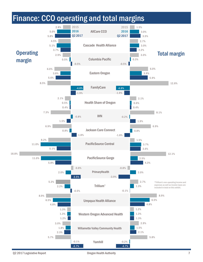

#### Q2 2017 Legislative Report **Contract Contract Contract Contract Contract Contract Contract Contract Contract Contract Contract Contract Contract Contract Contract Contract Contract Contract Contract Contract Contract Contr**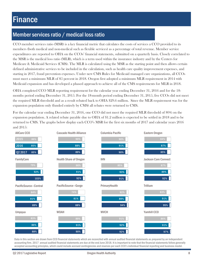### Member services ratio / medical loss ratio

CCO member services ratio (MSR) is a key financial metric that calculates the costs of services a CCO provided to its members (both medical and non-medical such as flexible services) as a percentage of total revenue. Member service expenditures are reported to OHA on the CCOs' financial statements, submitted on a quarterly basis. Closely correlated to the MSR is the medical loss ratio (MLR), which is a term used within the insurance industry and by the Centers for Medicare & Medicaid Services (CMS). The MLR is calculated using the MSR as the starting point and then allows certain defined administrative services to be included in the calculation, such as health care quality improvement expenses, and starting in 2017, fraud prevention expenses. Under new CMS Rules for Medicaid managed care organizations, all CCOs must meet a minimum MLR of 85 percent in 2018. Oregon first adopted a minimum MLR requirement in 2014 with Medicaid expansion and has developed a phased approach to achieve all of the CMS requirements for MLR in 2018.

OHA completed CCO MLR reporting requirement for the calendar year ending December 31, 2016 and for the 18 months period ending December 31, 2015. For the 18-month period ending December 31, 2015, five CCOs did not meet the required MLR threshold and as a result rebated back to OHA \$29.6 million. Since the MLR requirement was for the expansion population only (funded entirely by CMS) all rebates were returned to CMS.

For the calendar year ending December 31, 2016, one CCO did not meet the required MLR threshold of 80% on the expansion population. A related rebate payable due to OHA of \$1.2 million is expected to be settled in 2018 and to be returned to CMS. The graphs below display each CCO's MSR for the first six months of 2017 and calendar years 2016 and 2015:



Data in this section are drawn from CCO financial statements which are reconciled with annual audited financial statements as prepared by an independent accounting firm. 2017 annual audited financial statements are due at the end June 2018. It is important to note that the financial statements follow generally accepted accounting principles, which could include accrued contingencies and reserves per each CCO's individual financial reporting and business model.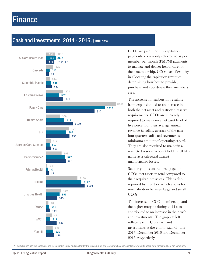## Cash and investments, 2014 - 2016 (\$ millions)



CCOs are paid monthly capitation payments, commonly referred to as per member per month (PMPM) payments, to manage and deliver health care for their membership. CCOs have flexibility in allocating the capitation revenues, determining how best to provide, purchase and coordinate their members care.

The increased membership resulting from expansion led to an increase in both the net asset and restricted reserve requirements. CCOs are currently required to maintain a net asset level of five percent of their average annual revenue (a rolling average of the past four quarters' adjusted revenue) as a minimum amount of operating capital. They are also required to maintain a restricted reserve account held in OHA's name as a safeguard against unanticipated losses.

See the graphs on the next page for CCOs' net assets in total compared to their required net assets. This is also reported by member, which allows for normalization between large and small CCOs.

The increase in CCO membership and the higher margins during 2014 also contributed to an increase in their cash and investments. The graph at left reflects each CCO's cash and investments at the end of each of June 2017, December 2016 and December 2015, respectively.

\* PacificSource has two contracts, one for Columbia Gorge and one for Central Oregon. Only one corporate balance sheet is provided; financial data presented here are combined.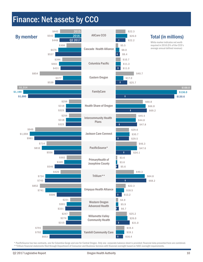## Finance: Net assets by CCO



\* PacificSource has two contracts, one for Columbia Gorge and one for Central Oregon. Only one corporate balance sheet is provided; financial data presented here are combined.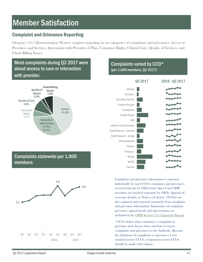## <span id="page-10-0"></span>Member Satisfaction

### Complaint and Grievance Reporting

Oregon's 1115 Demonstration Waiver. requires reporting on six categories of complaints and grievances: Access to Providers and Services, Interaction with Provider of Plan, Consumer Rights, Clinical Care, Quality of Services, and Client Billing Issues.

### Most complaints during Q2 2017 were about access to care or interaction with provider.



### Complaints statewide per 1,000 members.



### Complaints varied by CCO\* (per 1,000 members, Q2 2017)



Complaint and grievance information is reported individually by each CCO; complaints and grievances received directly by OHA from Open Card OHP members are tracked separately by OHA. Appeals of coverage denials, or Notices of Action (NOAs) are also captured and reported separately from complaint and grievance information. Summaries of complaint, grievance, appeal trends and interventions are included in the [OHP Section 1115 Quarterly Report.](https://www.oregon.gov/oha/healthplan/pages/waiver.aspx) 

\*CCOs define what constitutes a complaint or grievance and choose when and how to report complaints and grievances to the Authority. Because the definition of complaints or grievances is not standard across CCOs, comparison across CCOs should be made with caution.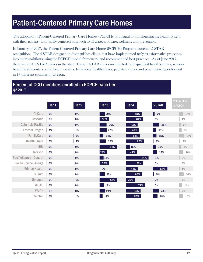## <span id="page-11-0"></span>Patient-Centered Primary Care Homes

The adoption of Patient-Centered Primary Care Homes (PCPCHs) is integral to transforming the health system, with their patient– and family-centered approach to all aspects of care, wellness, and prevention.

In January of 2017, the Patient-Centered Primary Care Home (PCPCH) Program launched 5 STAR recognition. The 5 STAR designation distinguishes clinics that have implemented truly transformative processes into their workflows using the PCPCH model framework and recommended best practices. As of June 2017, there were 34 5 STAR clinics in the state. These 5 STAR clinics include federally qualified health centers, schoolbased health centers, rural health centers, behavioral health clinics, pediatric clinics and other clinic types located in 17 different counties in Oregon.

#### Percent of CCO members enrolled in PCPCH each tier. Q2 2017

|                                | Tier 1 | Tier 2 | Tier $3$ | Tier <sub>4</sub> | 5 STAR          | Not enrolled<br>in PCPCH |
|--------------------------------|--------|--------|----------|-------------------|-----------------|--------------------------|
| AllCare                        | 0%     | 0%     | 20%      | 58%               | 7%              | 14%                      |
| Cascade                        | 0%     | $0\%$  | 36%      | 64%               | 0%              | $1\%$                    |
| Columbia Pacific               | 0%     | 0%     | 26%      | 43%               | 25%             | ı<br>6%                  |
| Eastern Oregon                 | 1%     | $1\%$  | 27%      | 48%               | 13%             | 9%                       |
| FamilyCare                     | $0\%$  | 2%     | 14%      | 52%               | 15%             | 18%                      |
| <b>Health Share</b>            | 0%     | 2%     | 24%      | 67%               | $\vert$ 3%      | 4%                       |
| <b>IHN</b>                     | 0%     | 0%     | 64%      | 15%               | 12%             | н<br>8%                  |
| Jackson                        | 0%     | 0%     | 28%      | 41%               | 15%             | 16%                      |
| <b>PacificSource - Central</b> | 0%     | 0%     | 14%      | 84%               | 1%              | $0\%$                    |
| PacificSource - Gorge          | 0%     | 0%     | 35%      | 65%               | 0%              | $0\%$                    |
| PrimaryHealth                  | $0\%$  | 0%     | 0%       | 44%               | 56%             | $1\%$                    |
| Trillium                       | 0%     | 0%     | 20%      | 60%               | $\vert\vert$ 5% | 16%                      |
| <b>Umpqua</b>                  | $0\%$  | 1%     | 66%      | 33%               | 0%              | $0\%$                    |
| <b>WOAH</b>                    | $0\%$  | 0%     | 18%      | 71%               | $0\%$           | 11%                      |
| <b>WVCH</b>                    | $0\%$  | $0\%$  | 21%      | 54%               | 23%             | 2%                       |
| Yamhill                        | $0\%$  | 1%     | 11%      | 56%               | 18%             | 14%                      |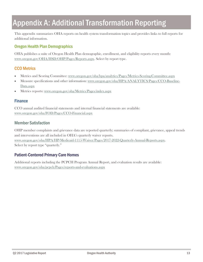## <span id="page-12-0"></span>Appendix A: Additional Transformation Reporting

This appendix summarizes OHA reports on health system transformation topics and provides links to full reports for additional information.

#### Oregon Health Plan Demographics

OHA publishes a suite of Oregon Health Plan demographic, enrollment, and eligibility reports every month: [www.oregon.gov/OHA/HSD/OHP/Pages/Reports.aspx.](http://www.oregon.gov/OHA/HSD/OHP/Pages/Reports.aspx) Select by report type.

#### CCO Metrics

- Metrics and Scoring Committee: [www.oregon.gov/oha/hpa/analytics/Pages/Metrics-Scoring-Committee.aspx](http://www.oregon.gov/oha/hpa/analytics/Pages/Metrics-Scoring-Committee.aspx)
- Measure specifications and other information: [www.oregon.gov/oha/HPA/ANALYTICS/Pages/CCO-Baseline-](http://www.oregon.gov/oha/HPA/ANALYTICS/Pages/CCO-Baseline-Data.aspx)[Data.aspx](http://www.oregon.gov/oha/HPA/ANALYTICS/Pages/CCO-Baseline-Data.aspx)
- Metrics reports: [www.oregon.gov/oha/Metrics/Pages/index.aspx](http://www.oregon.gov/oha/Metrics/Pages/index.aspx)

#### Finance

CCO annual audited financial statements and internal financial statements are available: [www.oregon.gov/oha/FOD/Pages/CCO-Financial.aspx](http://www.oregon.gov/oha/FOD/Pages/CCO-Financial.aspx)

#### Member Satisfaction

OHP member complaints and grievance data are reported quarterly; summaries of compliant, grievance, appeal trends and interventions are all included in OHA's quarterly waiver reports. [www.oregon.gov/oha/HPA/HP-Medicaid-1115-Waiver/Pages/2017-2022-Quarterly-Annual-Reports.aspx.](http://www.oregon.gov/oha/HPA/HP-Medicaid-1115-Waiver/Pages/2017-2022-Quarterly-Annual-Reports.aspx)  Select by report type "quarterly."

#### Patient-Centered Primary Care Homes

Additional reports including the PCPCH Program Annual Report, and evaluation results are available: [www.oregon.gov/oha/pcpch/Pages/reports-and-evaluations.aspx](http://www.oregon.gov/oha/pcpch/Pages/reports-and-evaluations.aspx)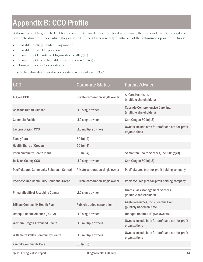## <span id="page-13-0"></span>Appendix B: CCO Profile

Although all of Oregon's 16 CCOs are community based in terms of local governance, there is a wide variety of legal and corporate structures under which they exist. All of the CCOs generally fit into one of the following corporate structures:

- Taxable Publicly Traded Corporation
- Taxable Private Corporation
- Tax-exempt Charitable Organization  $-501(c)(3)$
- Tax-exempt Non-Charitable Organization  $-501(c)(4)$
- Limited Liability Corporation LLC

The table below describes the corporate structure of each CCO:

| <b>CCO</b>                                         | <b>Corporate Status</b>            | Parent / Owner                                                     |
|----------------------------------------------------|------------------------------------|--------------------------------------------------------------------|
| <b>AllCare CCO</b>                                 | Private corporation single owner   | AllCare Health, In.<br>(multiple shareholders)                     |
| <b>Cascade Health Alliance</b>                     | LLC single owner                   | <b>Cascade Comprehensive Care, Inc.</b><br>(multiple shareholders) |
| <b>Columbia Pacific</b>                            | <b>LLC</b> single owner            | CareOregon 501(c)(3)                                               |
| Eastern Oregon CCO                                 | <b>LLC</b> multiple owners         | Owners include both for-profit and not-for-profit<br>organizations |
| <b>FamilyCare</b>                                  | 501(c)(4)                          |                                                                    |
| <b>Health Share of Oregon</b>                      | 501(c)(3)                          |                                                                    |
| <b>Intercommunity Health Plans</b>                 | 501(c)(4)                          | Samaritan Health Services, Inc. 501(c)(3)                          |
| <b>Jackson County CCO</b>                          | <b>LLC</b> single owner            | CareOregon 501(c)(3)                                               |
| <b>PacificSource Community Solutions - Central</b> | Private corporation single owner   | PacificSource (not-for-profit holding company)                     |
| <b>PacificSource Community Solutions - Gorge</b>   | Private corporation single owner   | PacificSource (not-for-profit holding company)                     |
| <b>PrimaryHealth of Josephine County</b>           | <b>LLC</b> single owner            | <b>Grants Pass Management Services</b><br>(multiple shareholders)  |
| <b>Trillium Community Health Plan</b>              | <b>Publicly traded corporation</b> | Agate Resources, Inc./Centene Corp.<br>(publicly traded on NYSE)   |
| <b>Umpqua Health Alliance (DCIPA)</b>              | <b>LLC</b> single owner            | Umpqua Health, LLC (two owners)                                    |
| <b>Western Oregon Advanced Health</b>              | <b>LLC</b> multiple owners         | Owners include both for-profit and not-for-profit<br>organizations |
| <b>Willamette Valley Community Health</b>          | <b>LLC</b> multiple owners         | Owners include both for-profit and not-for-profit<br>organizations |
| <b>Yamhill Community Care</b>                      | 501(c)(3)                          |                                                                    |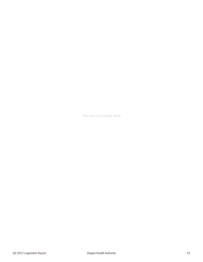This page intentionally blank.